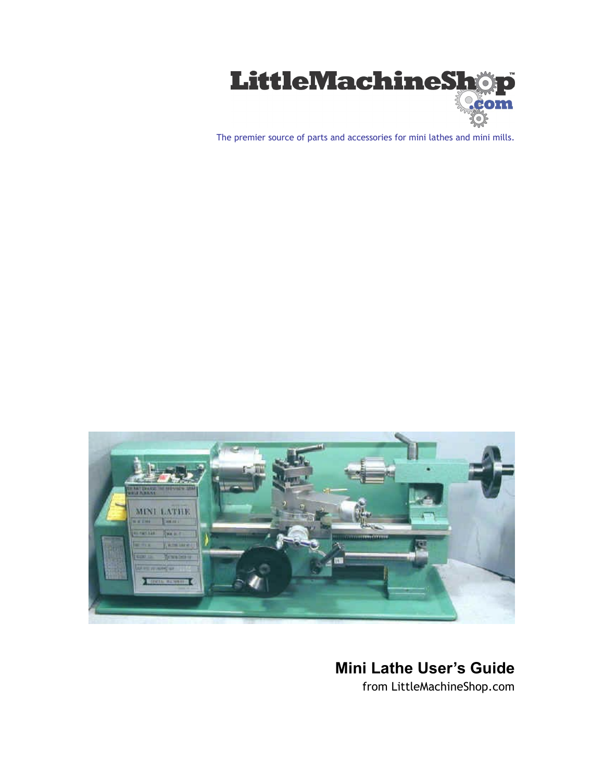

The premier source of parts and accessories for mini lathes and mini mills.



# **Mini Lathe User's Guide**

from LittleMachineShop.com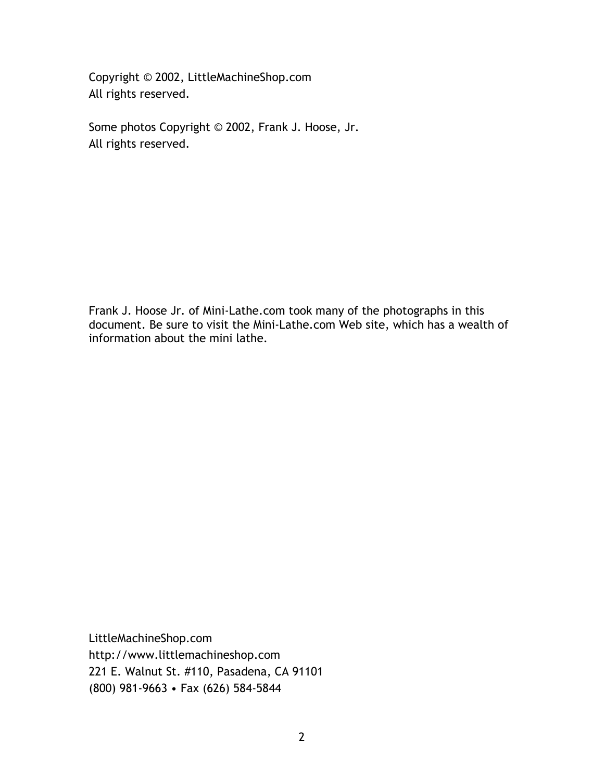Copyright © 2002, LittleMachineShop.com All rights reserved.

Some photos Copyright © 2002, Frank J. Hoose, Jr. All rights reserved.

Frank J. Hoose Jr. of Mini-Lathe.com took many of the photographs in this document. Be sure to visit the Mini-Lathe.com Web site, which has a wealth of information about the mini lathe.

LittleMachineShop.com http://www.littlemachineshop.com 221 E. Walnut St. #110, Pasadena, CA 91101 (800) 981-9663 • Fax (626) 584-5844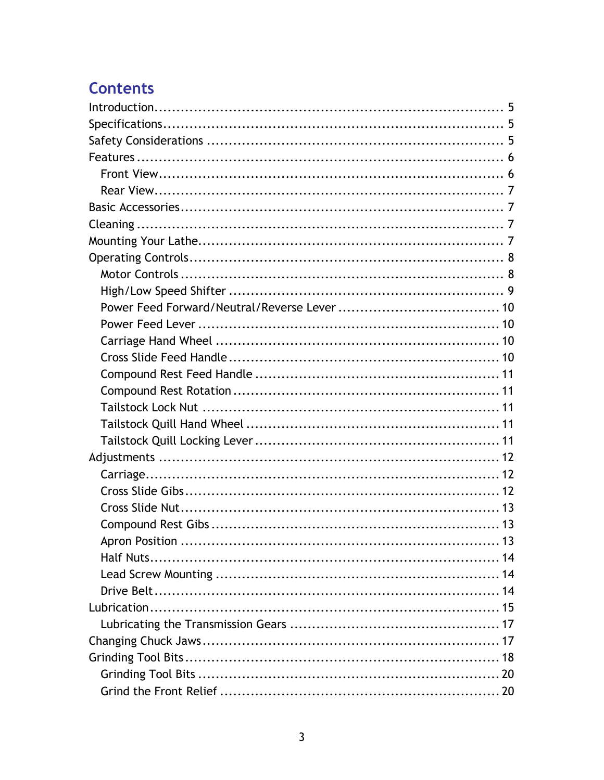# **Contents**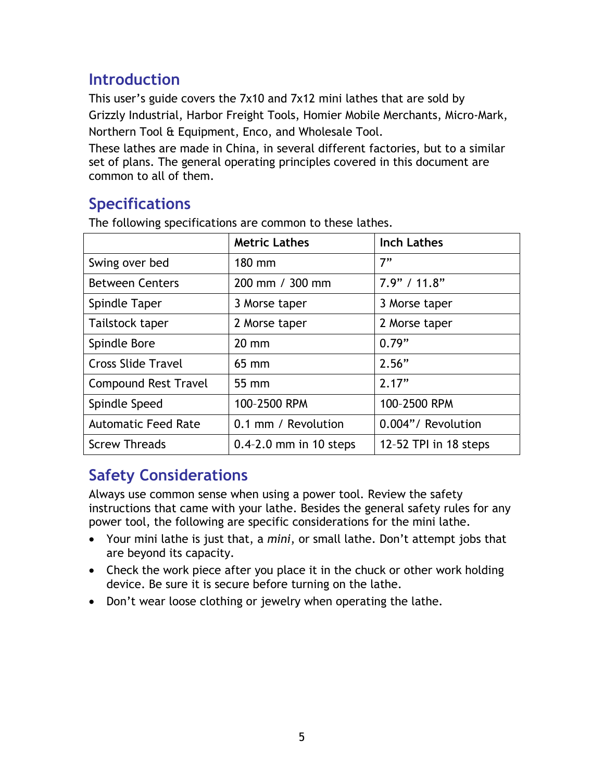# <span id="page-4-0"></span>**Introduction**

This user's guide covers the 7x10 and 7x12 mini lathes that are sold by Grizzly Industrial, Harbor Freight Tools, Homier Mobile Merchants, Micro-Mark, Northern Tool & Equipment, Enco, and Wholesale Tool.

These lathes are made in China, in several different factories, but to a similar set of plans. The general operating principles covered in this document are common to all of them.

# **Specifications**

The following specifications are common to these lathes.

|                             | <b>Metric Lathes</b>       | <b>Inch Lathes</b>    |
|-----------------------------|----------------------------|-----------------------|
| Swing over bed              | 180 mm                     | 7"                    |
| <b>Between Centers</b>      | 200 mm / 300 mm            | 7.9" / 11.8"          |
| Spindle Taper               | 3 Morse taper              | 3 Morse taper         |
| Tailstock taper             | 2 Morse taper              | 2 Morse taper         |
| Spindle Bore                | $20 \text{ mm}$            | 0.79"                 |
| <b>Cross Slide Travel</b>   | $65 \text{ mm}$            | 2.56"                 |
| <b>Compound Rest Travel</b> | $55 \, \text{mm}$          | 2.17"                 |
| Spindle Speed               | 100-2500 RPM               | 100-2500 RPM          |
| <b>Automatic Feed Rate</b>  | 0.1 mm / Revolution        | 0.004"/ Revolution    |
| <b>Screw Threads</b>        | $0.4 - 2.0$ mm in 10 steps | 12-52 TPI in 18 steps |

# **Safety Considerations**

Always use common sense when using a power tool. Review the safety instructions that came with your lathe. Besides the general safety rules for any power tool, the following are specific considerations for the mini lathe.

- Your mini lathe is just that, a *mini*, or small lathe. Don't attempt jobs that are beyond its capacity.
- Check the work piece after you place it in the chuck or other work holding device. Be sure it is secure before turning on the lathe.
- Don't wear loose clothing or jewelry when operating the lathe.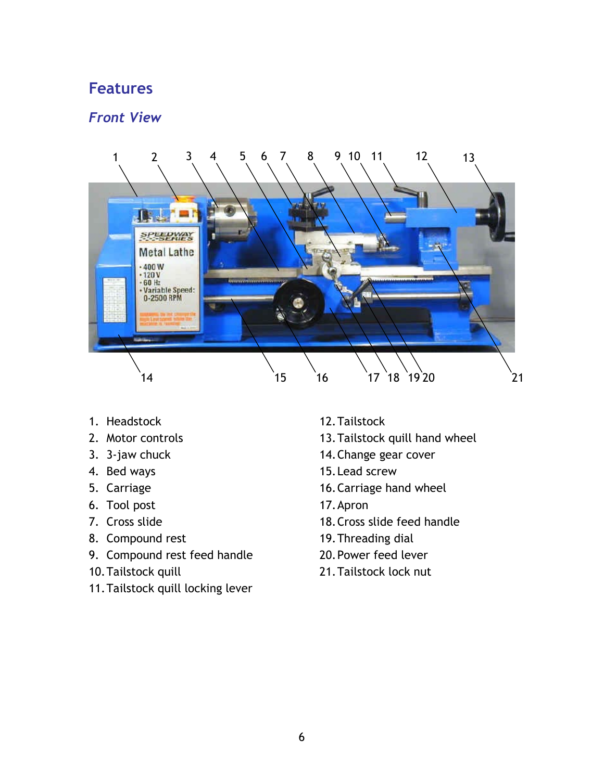## <span id="page-5-0"></span>**Features**

### *Front View*



- 1. Headstock
- 2. Motor controls
- 3. 3-jaw chuck
- 4. Bed ways
- 5. Carriage
- 6. Tool post
- 7. Cross slide
- 8. Compound rest
- 9. Compound rest feed handle
- 10. Tailstock quill
- 11. Tailstock quill locking lever
- 12. Tailstock
- 13. Tailstock quill hand wheel
- 14. Change gear cover
- 15. Lead screw
- 16. Carriage hand wheel
- 17. Apron
- 18. Cross slide feed handle
- 19. Threading dial
- 20. Power feed lever
- 21. Tailstock lock nut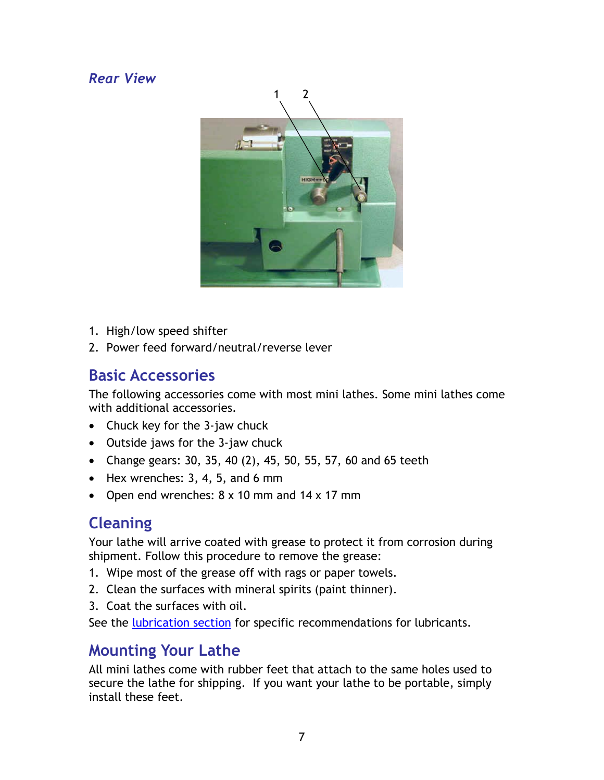## <span id="page-6-0"></span>*Rear View*



- 1. High/low speed shifter
- 2. Power feed forward/neutral/reverse lever

# **Basic Accessories**

The following accessories come with most mini lathes. Some mini lathes come with additional accessories.

- Chuck key for the 3-jaw chuck
- Outside jaws for the 3-jaw chuck
- Change gears: 30, 35, 40 (2), 45, 50, 55, 57, 60 and 65 teeth
- $\bullet$  Hex wrenches: 3, 4, 5, and 6 mm
- Open end wrenches: 8 x 10 mm and 14 x 17 mm

# **Cleaning**

Your lathe will arrive coated with grease to protect it from corrosion during shipment. Follow this procedure to remove the grease:

- 1. Wipe most of the grease off with rags or paper towels.
- 2. Clean the surfaces with mineral spirits (paint thinner).
- 3. Coat the surfaces with oil.

See the [lubrication section](#page-14-0) for specific recommendations for lubricants.

# **Mounting Your Lathe**

All mini lathes come with rubber feet that attach to the same holes used to secure the lathe for shipping. If you want your lathe to be portable, simply install these feet.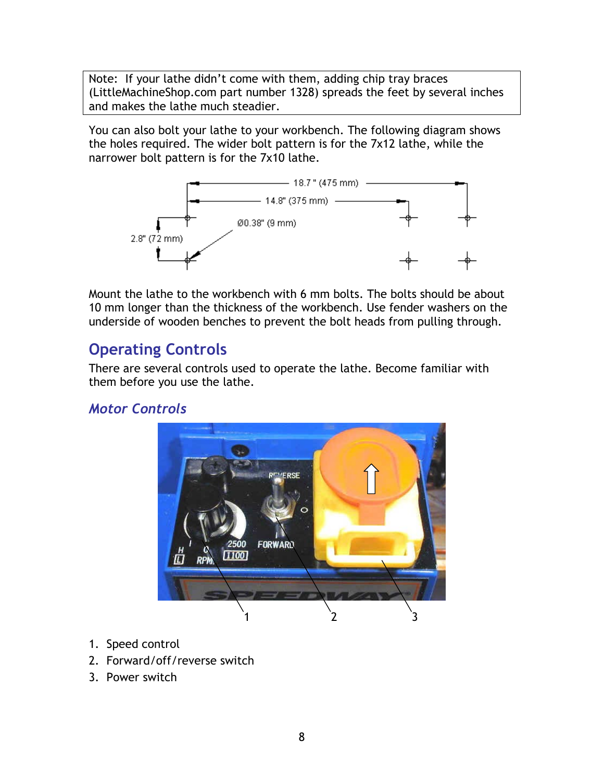<span id="page-7-0"></span>Note: If your lathe didn't come with them, adding chip tray braces (LittleMachineShop.com part number 1328) spreads the feet by several inches and makes the lathe much steadier.

You can also bolt your lathe to your workbench. The following diagram shows the holes required. The wider bolt pattern is for the 7x12 lathe, while the narrower bolt pattern is for the 7x10 lathe.



Mount the lathe to the workbench with 6 mm bolts. The bolts should be about 10 mm longer than the thickness of the workbench. Use fender washers on the underside of wooden benches to prevent the bolt heads from pulling through.

# **Operating Controls**

There are several controls used to operate the lathe. Become familiar with them before you use the lathe.

## *Motor Controls*



- 1. Speed control
- 2. Forward/off/reverse switch
- 3. Power switch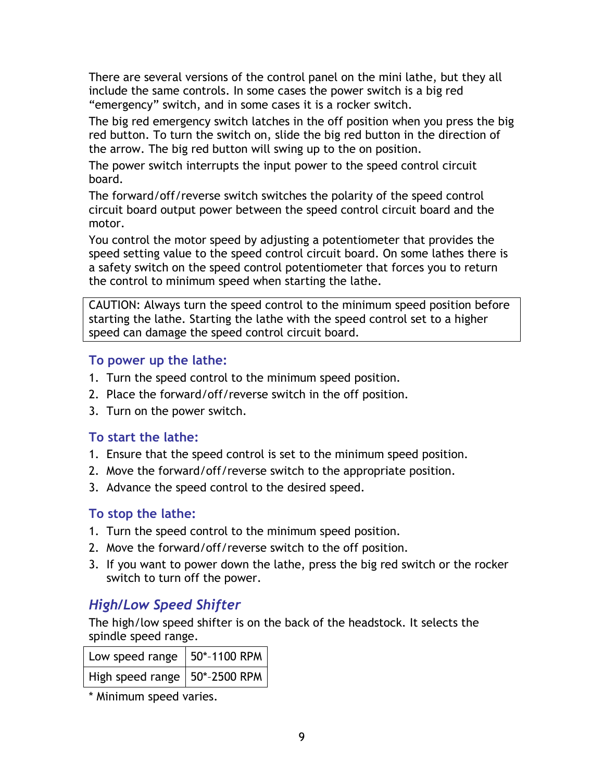<span id="page-8-0"></span>There are several versions of the control panel on the mini lathe, but they all include the same controls. In some cases the power switch is a big red "emergency" switch, and in some cases it is a rocker switch.

The big red emergency switch latches in the off position when you press the big red button. To turn the switch on, slide the big red button in the direction of the arrow. The big red button will swing up to the on position.

The power switch interrupts the input power to the speed control circuit board.

The forward/off/reverse switch switches the polarity of the speed control circuit board output power between the speed control circuit board and the motor.

You control the motor speed by adjusting a potentiometer that provides the speed setting value to the speed control circuit board. On some lathes there is a safety switch on the speed control potentiometer that forces you to return the control to minimum speed when starting the lathe.

CAUTION: Always turn the speed control to the minimum speed position before starting the lathe. Starting the lathe with the speed control set to a higher speed can damage the speed control circuit board.

#### **To power up the lathe:**

- 1. Turn the speed control to the minimum speed position.
- 2. Place the forward/off/reverse switch in the off position.
- 3. Turn on the power switch.

#### **To start the lathe:**

- 1. Ensure that the speed control is set to the minimum speed position.
- 2. Move the forward/off/reverse switch to the appropriate position.
- 3. Advance the speed control to the desired speed.

#### **To stop the lathe:**

- 1. Turn the speed control to the minimum speed position.
- 2. Move the forward/off/reverse switch to the off position.
- 3. If you want to power down the lathe, press the big red switch or the rocker switch to turn off the power.

# *High/Low Speed Shifter*

The high/low speed shifter is on the back of the headstock. It selects the spindle speed range.

| Low speed range   $50^*$ -1100 RPM |  |
|------------------------------------|--|
| High speed range   50*-2500 RPM    |  |

\* Minimum speed varies.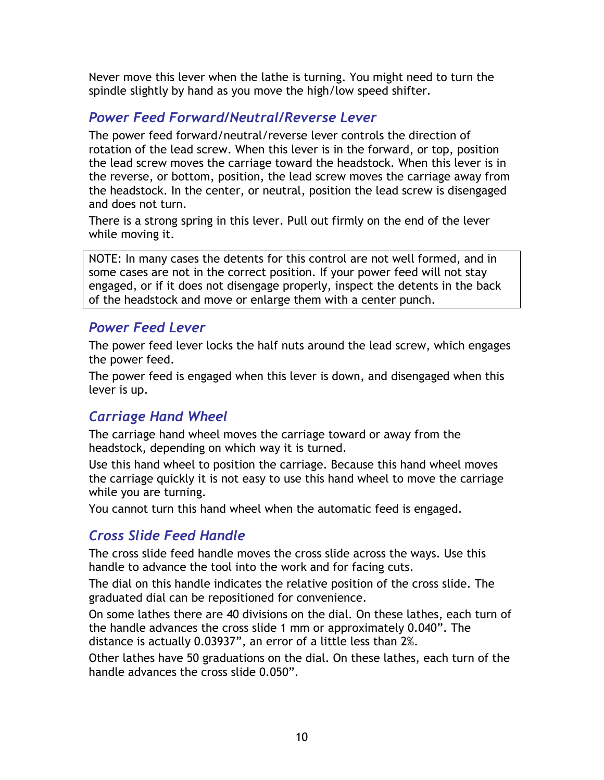<span id="page-9-0"></span>Never move this lever when the lathe is turning. You might need to turn the spindle slightly by hand as you move the high/low speed shifter.

## *Power Feed Forward/Neutral/Reverse Lever*

The power feed forward/neutral/reverse lever controls the direction of rotation of the lead screw. When this lever is in the forward, or top, position the lead screw moves the carriage toward the headstock. When this lever is in the reverse, or bottom, position, the lead screw moves the carriage away from the headstock. In the center, or neutral, position the lead screw is disengaged and does not turn.

There is a strong spring in this lever. Pull out firmly on the end of the lever while moving it.

NOTE: In many cases the detents for this control are not well formed, and in some cases are not in the correct position. If your power feed will not stay engaged, or if it does not disengage properly, inspect the detents in the back of the headstock and move or enlarge them with a center punch.

### *Power Feed Lever*

The power feed lever locks the half nuts around the lead screw, which engages the power feed.

The power feed is engaged when this lever is down, and disengaged when this lever is up.

### *Carriage Hand Wheel*

The carriage hand wheel moves the carriage toward or away from the headstock, depending on which way it is turned.

Use this hand wheel to position the carriage. Because this hand wheel moves the carriage quickly it is not easy to use this hand wheel to move the carriage while you are turning.

You cannot turn this hand wheel when the automatic feed is engaged.

## *Cross Slide Feed Handle*

The cross slide feed handle moves the cross slide across the ways. Use this handle to advance the tool into the work and for facing cuts.

The dial on this handle indicates the relative position of the cross slide. The graduated dial can be repositioned for convenience.

On some lathes there are 40 divisions on the dial. On these lathes, each turn of the handle advances the cross slide 1 mm or approximately 0.040". The distance is actually 0.03937", an error of a little less than 2%.

Other lathes have 50 graduations on the dial. On these lathes, each turn of the handle advances the cross slide 0.050".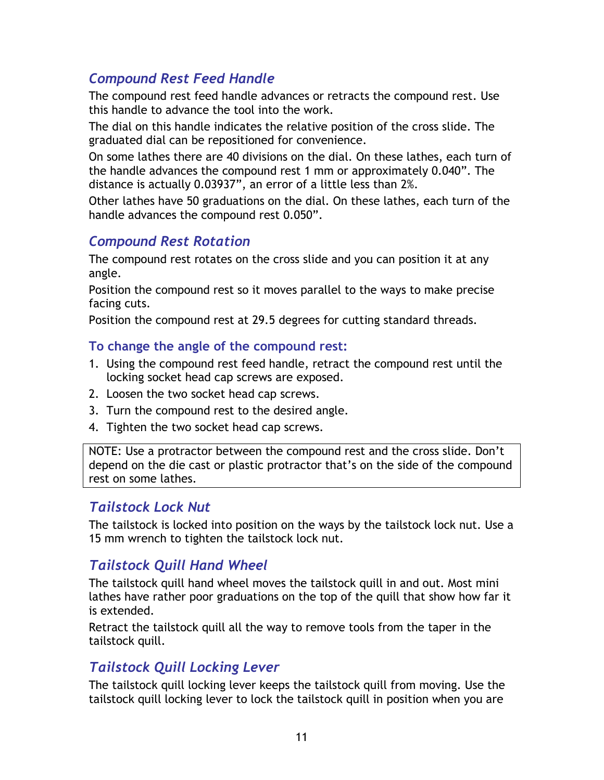## <span id="page-10-0"></span>*Compound Rest Feed Handle*

The compound rest feed handle advances or retracts the compound rest. Use this handle to advance the tool into the work.

The dial on this handle indicates the relative position of the cross slide. The graduated dial can be repositioned for convenience.

On some lathes there are 40 divisions on the dial. On these lathes, each turn of the handle advances the compound rest 1 mm or approximately 0.040". The distance is actually 0.03937", an error of a little less than 2%.

Other lathes have 50 graduations on the dial. On these lathes, each turn of the handle advances the compound rest 0.050".

### *Compound Rest Rotation*

The compound rest rotates on the cross slide and you can position it at any angle.

Position the compound rest so it moves parallel to the ways to make precise facing cuts.

Position the compound rest at 29.5 degrees for cutting standard threads.

#### **To change the angle of the compound rest:**

- 1. Using the compound rest feed handle, retract the compound rest until the locking socket head cap screws are exposed.
- 2. Loosen the two socket head cap screws.
- 3. Turn the compound rest to the desired angle.
- 4. Tighten the two socket head cap screws.

NOTE: Use a protractor between the compound rest and the cross slide. Don't depend on the die cast or plastic protractor that's on the side of the compound rest on some lathes.

#### *Tailstock Lock Nut*

The tailstock is locked into position on the ways by the tailstock lock nut. Use a 15 mm wrench to tighten the tailstock lock nut.

### *Tailstock Quill Hand Wheel*

The tailstock quill hand wheel moves the tailstock quill in and out. Most mini lathes have rather poor graduations on the top of the quill that show how far it is extended.

Retract the tailstock quill all the way to remove tools from the taper in the tailstock quill.

### *Tailstock Quill Locking Lever*

The tailstock quill locking lever keeps the tailstock quill from moving. Use the tailstock quill locking lever to lock the tailstock quill in position when you are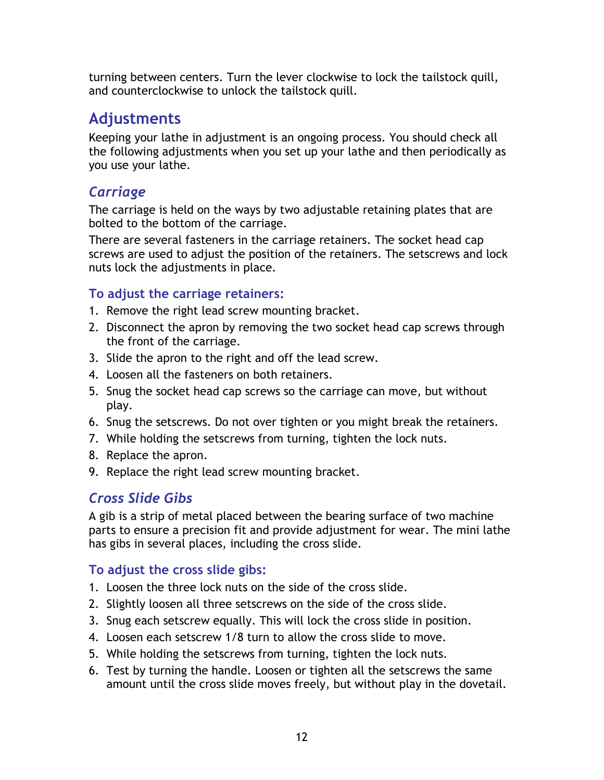<span id="page-11-0"></span>turning between centers. Turn the lever clockwise to lock the tailstock quill, and counterclockwise to unlock the tailstock quill.

# **Adjustments**

Keeping your lathe in adjustment is an ongoing process. You should check all the following adjustments when you set up your lathe and then periodically as you use your lathe.

# *Carriage*

The carriage is held on the ways by two adjustable retaining plates that are bolted to the bottom of the carriage.

There are several fasteners in the carriage retainers. The socket head cap screws are used to adjust the position of the retainers. The setscrews and lock nuts lock the adjustments in place.

### **To adjust the carriage retainers:**

- 1. Remove the right lead screw mounting bracket.
- 2. Disconnect the apron by removing the two socket head cap screws through the front of the carriage.
- 3. Slide the apron to the right and off the lead screw.
- 4. Loosen all the fasteners on both retainers.
- 5. Snug the socket head cap screws so the carriage can move, but without play.
- 6. Snug the setscrews. Do not over tighten or you might break the retainers.
- 7. While holding the setscrews from turning, tighten the lock nuts.
- 8. Replace the apron.
- 9. Replace the right lead screw mounting bracket.

# *Cross Slide Gibs*

A gib is a strip of metal placed between the bearing surface of two machine parts to ensure a precision fit and provide adjustment for wear. The mini lathe has gibs in several places, including the cross slide.

### **To adjust the cross slide gibs:**

- 1. Loosen the three lock nuts on the side of the cross slide.
- 2. Slightly loosen all three setscrews on the side of the cross slide.
- 3. Snug each setscrew equally. This will lock the cross slide in position.
- 4. Loosen each setscrew 1/8 turn to allow the cross slide to move.
- 5. While holding the setscrews from turning, tighten the lock nuts.
- 6. Test by turning the handle. Loosen or tighten all the setscrews the same amount until the cross slide moves freely, but without play in the dovetail.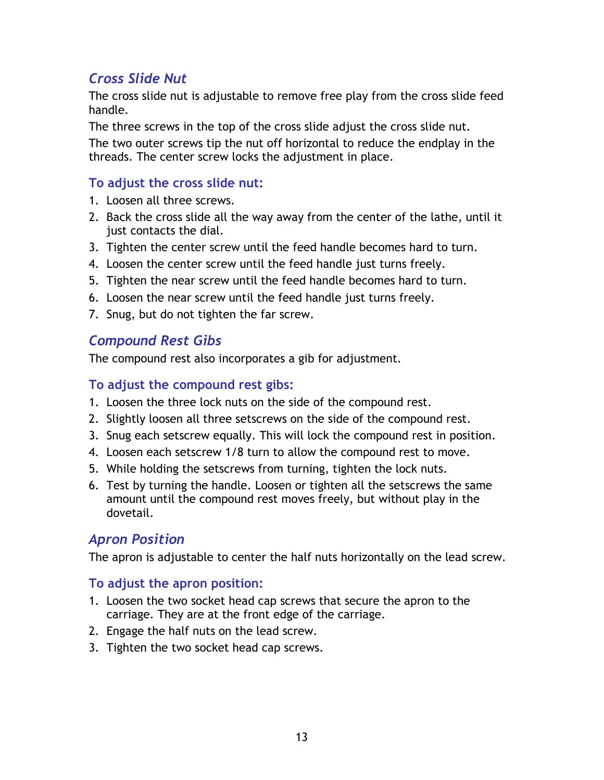## <span id="page-12-0"></span>*Cross Slide Nut*

The cross slide nut is adjustable to remove free play from the cross slide feed handle.

The three screws in the top of the cross slide adjust the cross slide nut.

The two outer screws tip the nut off horizontal to reduce the endplay in the threads. The center screw locks the adjustment in place.

### **To adjust the cross slide nut:**

- 1. Loosen all three screws.
- 2. Back the cross slide all the way away from the center of the lathe, until it just contacts the dial.
- 3. Tighten the center screw until the feed handle becomes hard to turn.
- 4. Loosen the center screw until the feed handle just turns freely.
- 5. Tighten the near screw until the feed handle becomes hard to turn.
- 6. Loosen the near screw until the feed handle just turns freely.
- 7. Snug, but do not tighten the far screw.

### *Compound Rest Gibs*

The compound rest also incorporates a gib for adjustment.

#### **To adjust the compound rest gibs:**

- 1. Loosen the three lock nuts on the side of the compound rest.
- 2. Slightly loosen all three setscrews on the side of the compound rest.
- 3. Snug each setscrew equally. This will lock the compound rest in position.
- 4. Loosen each setscrew 1/8 turn to allow the compound rest to move.
- 5. While holding the setscrews from turning, tighten the lock nuts.
- 6. Test by turning the handle. Loosen or tighten all the setscrews the same amount until the compound rest moves freely, but without play in the dovetail.

### *Apron Position*

The apron is adjustable to center the half nuts horizontally on the lead screw.

#### **To adjust the apron position:**

- 1. Loosen the two socket head cap screws that secure the apron to the carriage. They are at the front edge of the carriage.
- 2. Engage the half nuts on the lead screw.
- 3. Tighten the two socket head cap screws.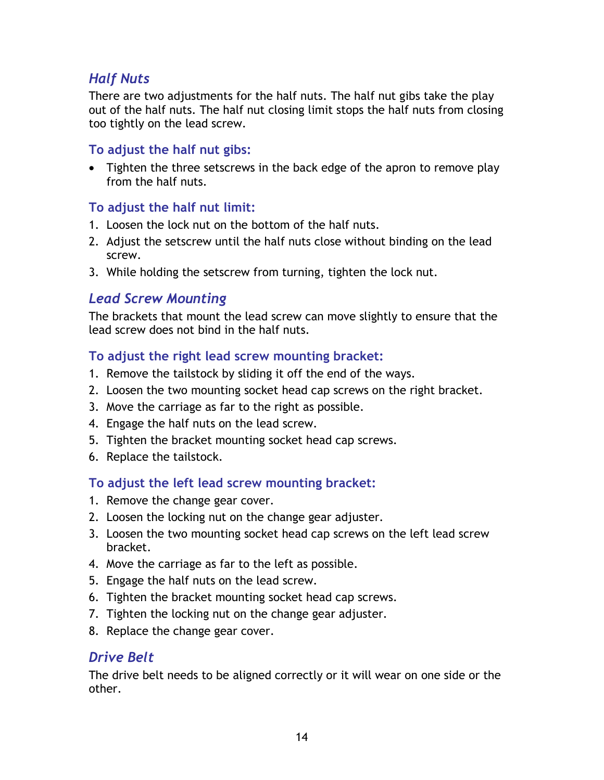### <span id="page-13-0"></span>*Half Nuts*

There are two adjustments for the half nuts. The half nut gibs take the play out of the half nuts. The half nut closing limit stops the half nuts from closing too tightly on the lead screw.

### **To adjust the half nut gibs:**

• Tighten the three setscrews in the back edge of the apron to remove play from the half nuts.

### **To adjust the half nut limit:**

- 1. Loosen the lock nut on the bottom of the half nuts.
- 2. Adjust the setscrew until the half nuts close without binding on the lead screw.
- 3. While holding the setscrew from turning, tighten the lock nut.

### *Lead Screw Mounting*

The brackets that mount the lead screw can move slightly to ensure that the lead screw does not bind in the half nuts.

#### **To adjust the right lead screw mounting bracket:**

- 1. Remove the tailstock by sliding it off the end of the ways.
- 2. Loosen the two mounting socket head cap screws on the right bracket.
- 3. Move the carriage as far to the right as possible.
- 4. Engage the half nuts on the lead screw.
- 5. Tighten the bracket mounting socket head cap screws.
- 6. Replace the tailstock.

#### **To adjust the left lead screw mounting bracket:**

- 1. Remove the change gear cover.
- 2. Loosen the locking nut on the change gear adjuster.
- 3. Loosen the two mounting socket head cap screws on the left lead screw bracket.
- 4. Move the carriage as far to the left as possible.
- 5. Engage the half nuts on the lead screw.
- 6. Tighten the bracket mounting socket head cap screws.
- 7. Tighten the locking nut on the change gear adjuster.
- 8. Replace the change gear cover.

#### *Drive Belt*

The drive belt needs to be aligned correctly or it will wear on one side or the other.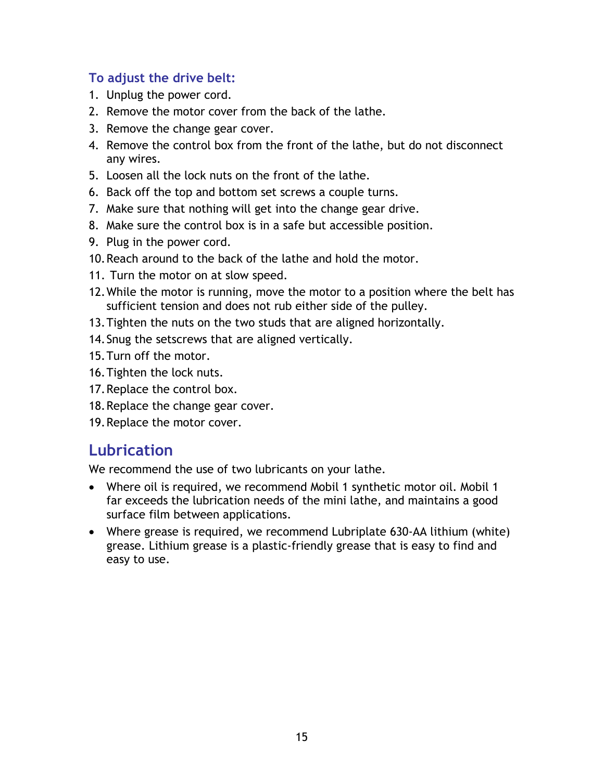### <span id="page-14-0"></span>**To adjust the drive belt:**

- 1. Unplug the power cord.
- 2. Remove the motor cover from the back of the lathe.
- 3. Remove the change gear cover.
- 4. Remove the control box from the front of the lathe, but do not disconnect any wires.
- 5. Loosen all the lock nuts on the front of the lathe.
- 6. Back off the top and bottom set screws a couple turns.
- 7. Make sure that nothing will get into the change gear drive.
- 8. Make sure the control box is in a safe but accessible position.
- 9. Plug in the power cord.
- 10. Reach around to the back of the lathe and hold the motor.
- 11. Turn the motor on at slow speed.
- 12. While the motor is running, move the motor to a position where the belt has sufficient tension and does not rub either side of the pulley.
- 13. Tighten the nuts on the two studs that are aligned horizontally.
- 14. Snug the setscrews that are aligned vertically.
- 15. Turn off the motor.
- 16. Tighten the lock nuts.
- 17. Replace the control box.
- 18. Replace the change gear cover.
- 19. Replace the motor cover.

# **Lubrication**

We recommend the use of two lubricants on your lathe.

- Where oil is required, we recommend Mobil 1 synthetic motor oil. Mobil 1 far exceeds the lubrication needs of the mini lathe, and maintains a good surface film between applications.
- Where grease is required, we recommend Lubriplate 630-AA lithium (white) grease. Lithium grease is a plastic-friendly grease that is easy to find and easy to use.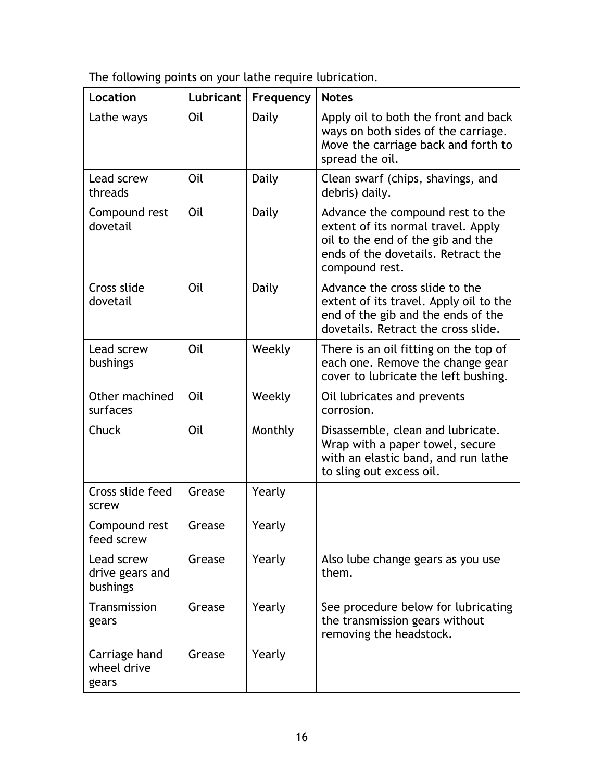The following points on your lathe require lubrication.

| Location                                  | Lubricant | Frequency | <b>Notes</b>                                                                                                                                                        |
|-------------------------------------------|-----------|-----------|---------------------------------------------------------------------------------------------------------------------------------------------------------------------|
| Lathe ways                                | Oil       | Daily     | Apply oil to both the front and back<br>ways on both sides of the carriage.<br>Move the carriage back and forth to<br>spread the oil.                               |
| Lead screw<br>threads                     | Oil       | Daily     | Clean swarf (chips, shavings, and<br>debris) daily.                                                                                                                 |
| Compound rest<br>dovetail                 | Oil       | Daily     | Advance the compound rest to the<br>extent of its normal travel. Apply<br>oil to the end of the gib and the<br>ends of the dovetails. Retract the<br>compound rest. |
| Cross slide<br>dovetail                   | Oil       | Daily     | Advance the cross slide to the<br>extent of its travel. Apply oil to the<br>end of the gib and the ends of the<br>dovetails. Retract the cross slide.               |
| Lead screw<br>bushings                    | Oil       | Weekly    | There is an oil fitting on the top of<br>each one. Remove the change gear<br>cover to lubricate the left bushing.                                                   |
| Other machined<br>surfaces                | Oil       | Weekly    | Oil lubricates and prevents<br>corrosion.                                                                                                                           |
| Chuck                                     | Oil       | Monthly   | Disassemble, clean and lubricate.<br>Wrap with a paper towel, secure<br>with an elastic band, and run lathe<br>to sling out excess oil.                             |
| Cross slide feed<br>screw                 | Grease    | Yearly    |                                                                                                                                                                     |
| Compound rest<br>feed screw               | Grease    | Yearly    |                                                                                                                                                                     |
| Lead screw<br>drive gears and<br>bushings | Grease    | Yearly    | Also lube change gears as you use<br>them.                                                                                                                          |
| Transmission<br>gears                     | Grease    | Yearly    | See procedure below for lubricating<br>the transmission gears without<br>removing the headstock.                                                                    |
| Carriage hand<br>wheel drive<br>gears     | Grease    | Yearly    |                                                                                                                                                                     |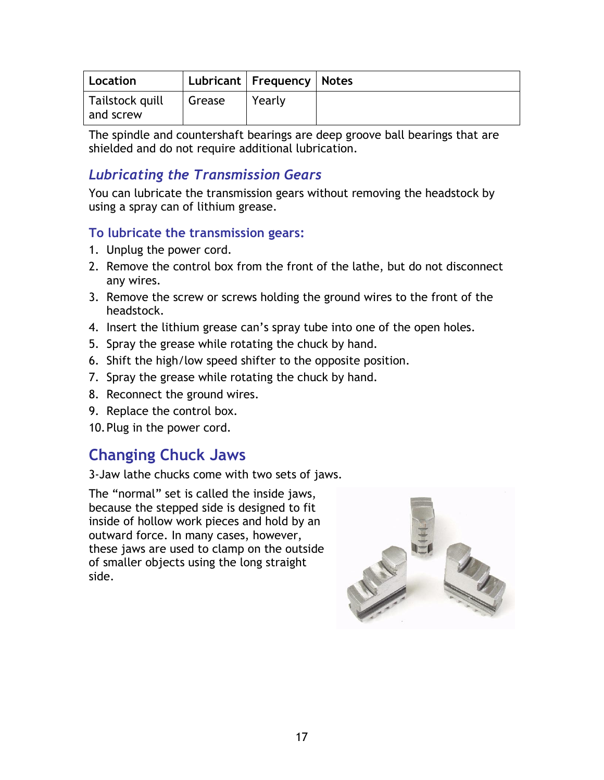<span id="page-16-0"></span>

| Location                     |        | Lubricant   Frequency   Notes |  |
|------------------------------|--------|-------------------------------|--|
| Tailstock quill<br>and screw | Grease | Yearly                        |  |

The spindle and countershaft bearings are deep groove ball bearings that are shielded and do not require additional lubrication.

## *Lubricating the Transmission Gears*

You can lubricate the transmission gears without removing the headstock by using a spray can of lithium grease.

### **To lubricate the transmission gears:**

- 1. Unplug the power cord.
- 2. Remove the control box from the front of the lathe, but do not disconnect any wires.
- 3. Remove the screw or screws holding the ground wires to the front of the headstock.
- 4. Insert the lithium grease can's spray tube into one of the open holes.
- 5. Spray the grease while rotating the chuck by hand.
- 6. Shift the high/low speed shifter to the opposite position.
- 7. Spray the grease while rotating the chuck by hand.
- 8. Reconnect the ground wires.
- 9. Replace the control box.
- 10. Plug in the power cord.

# **Changing Chuck Jaws**

3-Jaw lathe chucks come with two sets of jaws.

The "normal" set is called the inside jaws, because the stepped side is designed to fit inside of hollow work pieces and hold by an outward force. In many cases, however, these jaws are used to clamp on the outside of smaller objects using the long straight side.

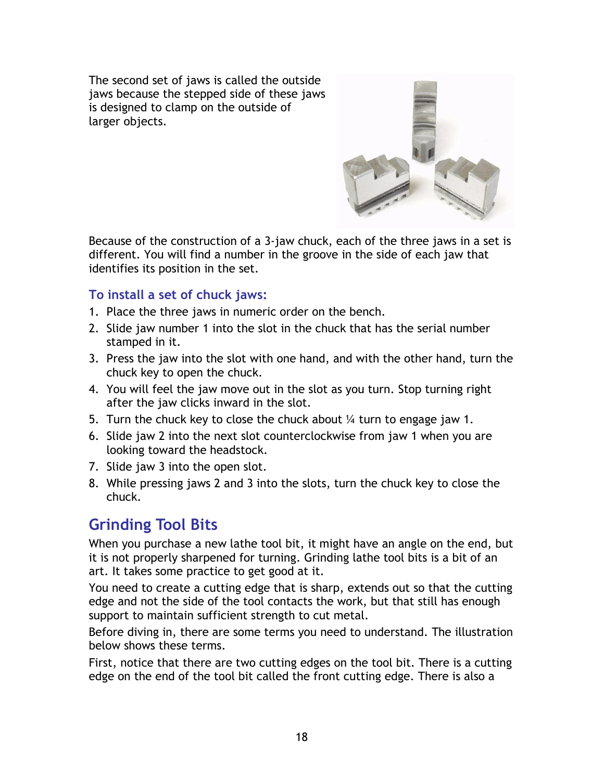<span id="page-17-0"></span>The second set of jaws is called the outside jaws because the stepped side of these jaws is designed to clamp on the outside of larger objects.



Because of the construction of a 3-jaw chuck, each of the three jaws in a set is different. You will find a number in the groove in the side of each jaw that identifies its position in the set.

#### **To install a set of chuck jaws:**

- 1. Place the three jaws in numeric order on the bench.
- 2. Slide jaw number 1 into the slot in the chuck that has the serial number stamped in it.
- 3. Press the jaw into the slot with one hand, and with the other hand, turn the chuck key to open the chuck.
- 4. You will feel the jaw move out in the slot as you turn. Stop turning right after the jaw clicks inward in the slot.
- 5. Turn the chuck key to close the chuck about  $\frac{1}{4}$  turn to engage jaw 1.
- 6. Slide jaw 2 into the next slot counterclockwise from jaw 1 when you are looking toward the headstock.
- 7. Slide jaw 3 into the open slot.
- 8. While pressing jaws 2 and 3 into the slots, turn the chuck key to close the chuck.

# **Grinding Tool Bits**

When you purchase a new lathe tool bit, it might have an angle on the end, but it is not properly sharpened for turning. Grinding lathe tool bits is a bit of an art. It takes some practice to get good at it.

You need to create a cutting edge that is sharp, extends out so that the cutting edge and not the side of the tool contacts the work, but that still has enough support to maintain sufficient strength to cut metal.

Before diving in, there are some terms you need to understand. The illustration below shows these terms.

First, notice that there are two cutting edges on the tool bit. There is a cutting edge on the end of the tool bit called the front cutting edge. There is also a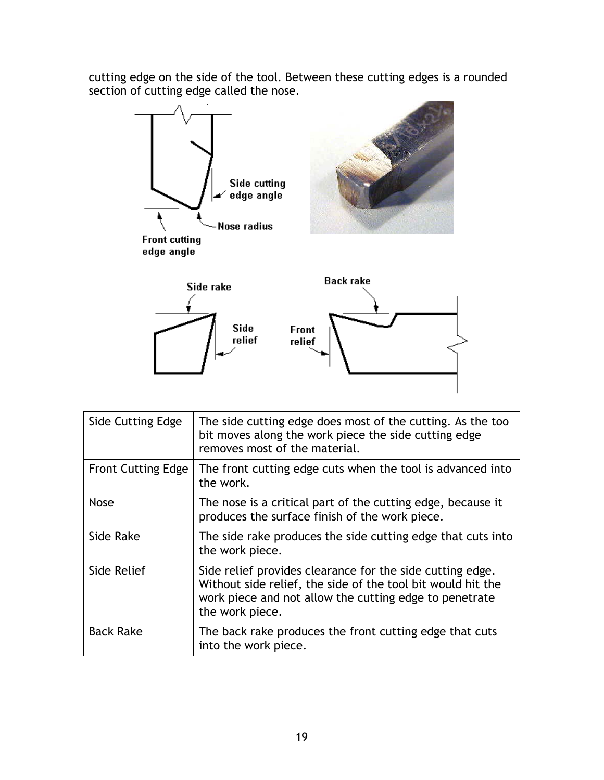cutting edge on the side of the tool. Between these cutting edges is a rounded section of cutting edge called the nose.



| Side Cutting Edge         | The side cutting edge does most of the cutting. As the too<br>bit moves along the work piece the side cutting edge<br>removes most of the material.                                                   |
|---------------------------|-------------------------------------------------------------------------------------------------------------------------------------------------------------------------------------------------------|
| <b>Front Cutting Edge</b> | The front cutting edge cuts when the tool is advanced into<br>the work.                                                                                                                               |
| <b>Nose</b>               | The nose is a critical part of the cutting edge, because it<br>produces the surface finish of the work piece.                                                                                         |
| Side Rake                 | The side rake produces the side cutting edge that cuts into<br>the work piece.                                                                                                                        |
| Side Relief               | Side relief provides clearance for the side cutting edge.<br>Without side relief, the side of the tool bit would hit the<br>work piece and not allow the cutting edge to penetrate<br>the work piece. |
| <b>Back Rake</b>          | The back rake produces the front cutting edge that cuts<br>into the work piece.                                                                                                                       |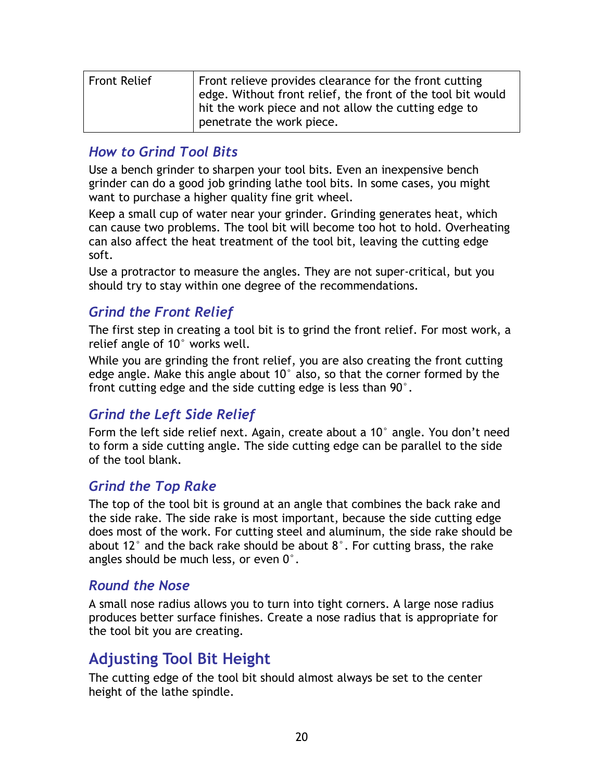<span id="page-19-0"></span>

| <b>Front Relief</b> | Front relieve provides clearance for the front cutting<br>edge. Without front relief, the front of the tool bit would<br>hit the work piece and not allow the cutting edge to |
|---------------------|-------------------------------------------------------------------------------------------------------------------------------------------------------------------------------|
|                     | penetrate the work piece.                                                                                                                                                     |

### *How to Grind Tool Bits*

Use a bench grinder to sharpen your tool bits. Even an inexpensive bench grinder can do a good job grinding lathe tool bits. In some cases, you might want to purchase a higher quality fine grit wheel.

Keep a small cup of water near your grinder. Grinding generates heat, which can cause two problems. The tool bit will become too hot to hold. Overheating can also affect the heat treatment of the tool bit, leaving the cutting edge soft.

Use a protractor to measure the angles. They are not super-critical, but you should try to stay within one degree of the recommendations.

### *Grind the Front Relief*

The first step in creating a tool bit is to grind the front relief. For most work, a relief angle of 10° works well.

While you are grinding the front relief, you are also creating the front cutting edge angle. Make this angle about 10° also, so that the corner formed by the front cutting edge and the side cutting edge is less than 90°.

### *Grind the Left Side Relief*

Form the left side relief next. Again, create about a 10° angle. You don't need to form a side cutting angle. The side cutting edge can be parallel to the side of the tool blank.

### *Grind the Top Rake*

The top of the tool bit is ground at an angle that combines the back rake and the side rake. The side rake is most important, because the side cutting edge does most of the work. For cutting steel and aluminum, the side rake should be about 12° and the back rake should be about 8°. For cutting brass, the rake angles should be much less, or even 0°.

#### *Round the Nose*

A small nose radius allows you to turn into tight corners. A large nose radius produces better surface finishes. Create a nose radius that is appropriate for the tool bit you are creating.

# **Adjusting Tool Bit Height**

The cutting edge of the tool bit should almost always be set to the center height of the lathe spindle.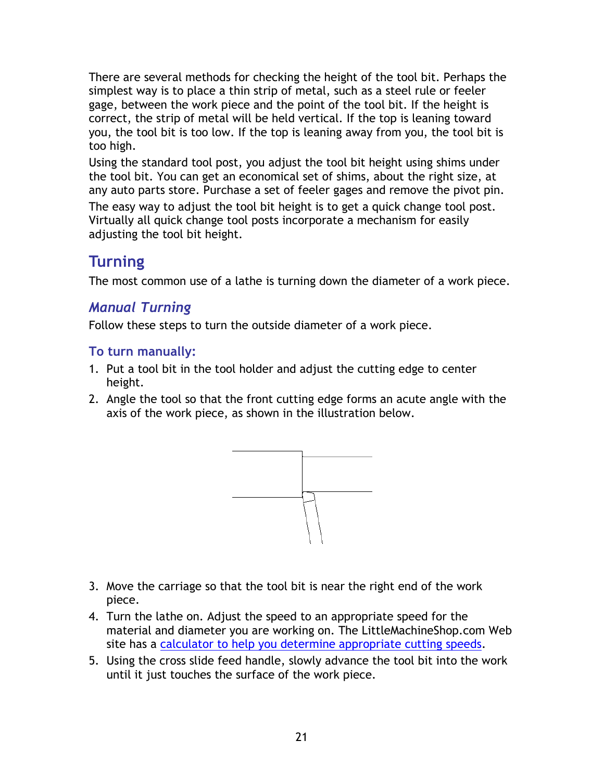<span id="page-20-0"></span>There are several methods for checking the height of the tool bit. Perhaps the simplest way is to place a thin strip of metal, such as a steel rule or feeler gage, between the work piece and the point of the tool bit. If the height is correct, the strip of metal will be held vertical. If the top is leaning toward you, the tool bit is too low. If the top is leaning away from you, the tool bit is too high.

Using the standard tool post, you adjust the tool bit height using shims under the tool bit. You can get an economical set of shims, about the right size, at any auto parts store. Purchase a set of feeler gages and remove the pivot pin. The easy way to adjust the tool bit height is to get a quick change tool post.

Virtually all quick change tool posts incorporate a mechanism for easily adjusting the tool bit height.

# **Turning**

The most common use of a lathe is turning down the diameter of a work piece.

# *Manual Turning*

Follow these steps to turn the outside diameter of a work piece.

## **To turn manually:**

- 1. Put a tool bit in the tool holder and adjust the cutting edge to center height.
- 2. Angle the tool so that the front cutting edge forms an acute angle with the axis of the work piece, as shown in the illustration below.



- 3. Move the carriage so that the tool bit is near the right end of the work piece.
- 4. Turn the lathe on. Adjust the speed to an appropriate speed for the material and diameter you are working on. The LittleMachineShop.com Web site has a [calculator to help you determine appropriate cutting speeds.](http://littlemachineshop.com/Reference/CuttingSpeeds.php#Turning)
- 5. Using the cross slide feed handle, slowly advance the tool bit into the work until it just touches the surface of the work piece.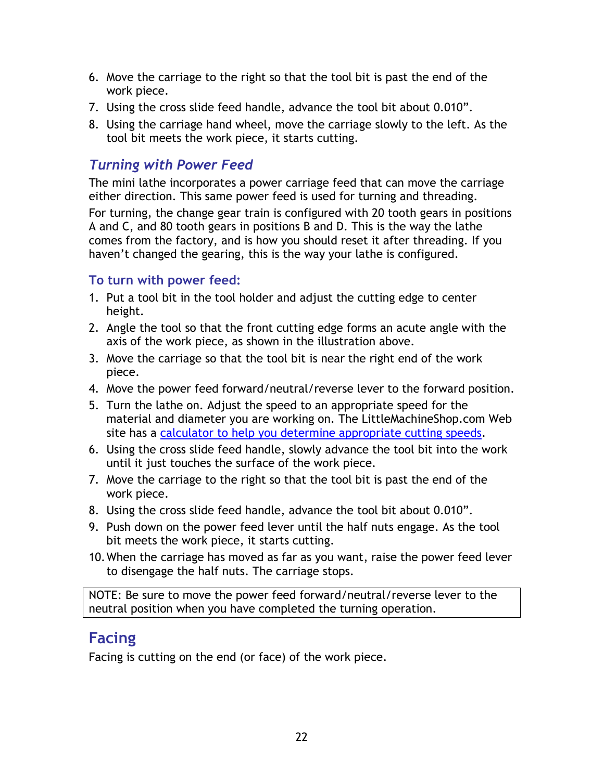- <span id="page-21-0"></span>6. Move the carriage to the right so that the tool bit is past the end of the work piece.
- 7. Using the cross slide feed handle, advance the tool bit about 0.010".
- 8. Using the carriage hand wheel, move the carriage slowly to the left. As the tool bit meets the work piece, it starts cutting.

## *Turning with Power Feed*

The mini lathe incorporates a power carriage feed that can move the carriage either direction. This same power feed is used for turning and threading.

For turning, the change gear train is configured with 20 tooth gears in positions A and C, and 80 tooth gears in positions B and D. This is the way the lathe comes from the factory, and is how you should reset it after threading. If you haven't changed the gearing, this is the way your lathe is configured.

### **To turn with power feed:**

- 1. Put a tool bit in the tool holder and adjust the cutting edge to center height.
- 2. Angle the tool so that the front cutting edge forms an acute angle with the axis of the work piece, as shown in the illustration above.
- 3. Move the carriage so that the tool bit is near the right end of the work piece.
- 4. Move the power feed forward/neutral/reverse lever to the forward position.
- 5. Turn the lathe on. Adjust the speed to an appropriate speed for the material and diameter you are working on. The LittleMachineShop.com Web site has a [calculator to help you determine appropriate cutting speeds.](http://littlemachineshop.com/Reference/CuttingSpeeds.php#Turning)
- 6. Using the cross slide feed handle, slowly advance the tool bit into the work until it just touches the surface of the work piece.
- 7. Move the carriage to the right so that the tool bit is past the end of the work piece.
- 8. Using the cross slide feed handle, advance the tool bit about 0.010".
- 9. Push down on the power feed lever until the half nuts engage. As the tool bit meets the work piece, it starts cutting.
- 10. When the carriage has moved as far as you want, raise the power feed lever to disengage the half nuts. The carriage stops.

NOTE: Be sure to move the power feed forward/neutral/reverse lever to the neutral position when you have completed the turning operation.

# **Facing**

Facing is cutting on the end (or face) of the work piece.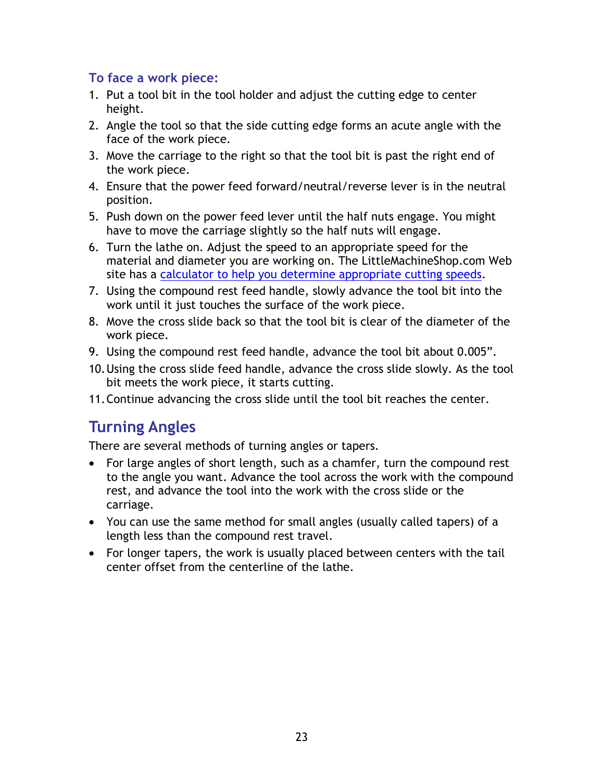#### <span id="page-22-0"></span>**To face a work piece:**

- 1. Put a tool bit in the tool holder and adjust the cutting edge to center height.
- 2. Angle the tool so that the side cutting edge forms an acute angle with the face of the work piece.
- 3. Move the carriage to the right so that the tool bit is past the right end of the work piece.
- 4. Ensure that the power feed forward/neutral/reverse lever is in the neutral position.
- 5. Push down on the power feed lever until the half nuts engage. You might have to move the carriage slightly so the half nuts will engage.
- 6. Turn the lathe on. Adjust the speed to an appropriate speed for the material and diameter you are working on. The LittleMachineShop.com Web site has a [calculator to help you determine appropriate cutting speeds.](http://littlemachineshop.com/Reference/CuttingSpeeds.php#Turning)
- 7. Using the compound rest feed handle, slowly advance the tool bit into the work until it just touches the surface of the work piece.
- 8. Move the cross slide back so that the tool bit is clear of the diameter of the work piece.
- 9. Using the compound rest feed handle, advance the tool bit about 0.005".
- 10. Using the cross slide feed handle, advance the cross slide slowly. As the tool bit meets the work piece, it starts cutting.
- 11. Continue advancing the cross slide until the tool bit reaches the center.

# **Turning Angles**

There are several methods of turning angles or tapers.

- For large angles of short length, such as a chamfer, turn the compound rest to the angle you want. Advance the tool across the work with the compound rest, and advance the tool into the work with the cross slide or the carriage.
- You can use the same method for small angles (usually called tapers) of a length less than the compound rest travel.
- For longer tapers, the work is usually placed between centers with the tail center offset from the centerline of the lathe.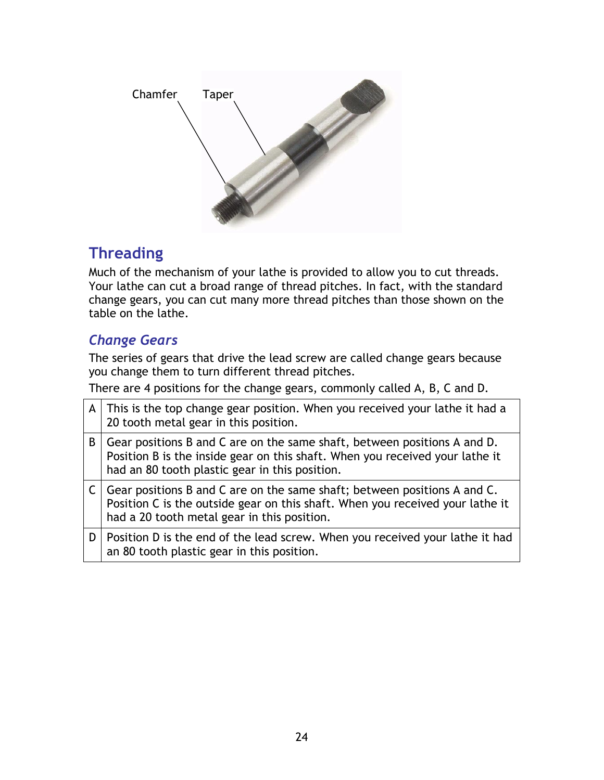<span id="page-23-0"></span>

# **Threading**

Much of the mechanism of your lathe is provided to allow you to cut threads. Your lathe can cut a broad range of thread pitches. In fact, with the standard change gears, you can cut many more thread pitches than those shown on the table on the lathe.

# *Change Gears*

The series of gears that drive the lead screw are called change gears because you change them to turn different thread pitches.

There are 4 positions for the change gears, commonly called A, B, C and D.

| A | This is the top change gear position. When you received your lathe it had a<br>20 tooth metal gear in this position.                                                                                       |
|---|------------------------------------------------------------------------------------------------------------------------------------------------------------------------------------------------------------|
| B | Gear positions B and C are on the same shaft, between positions A and D.<br>Position B is the inside gear on this shaft. When you received your lathe it<br>had an 80 tooth plastic gear in this position. |
|   | Gear positions B and C are on the same shaft; between positions A and C.<br>Position C is the outside gear on this shaft. When you received your lathe it<br>had a 20 tooth metal gear in this position.   |
| D | Position D is the end of the lead screw. When you received your lathe it had<br>an 80 tooth plastic gear in this position.                                                                                 |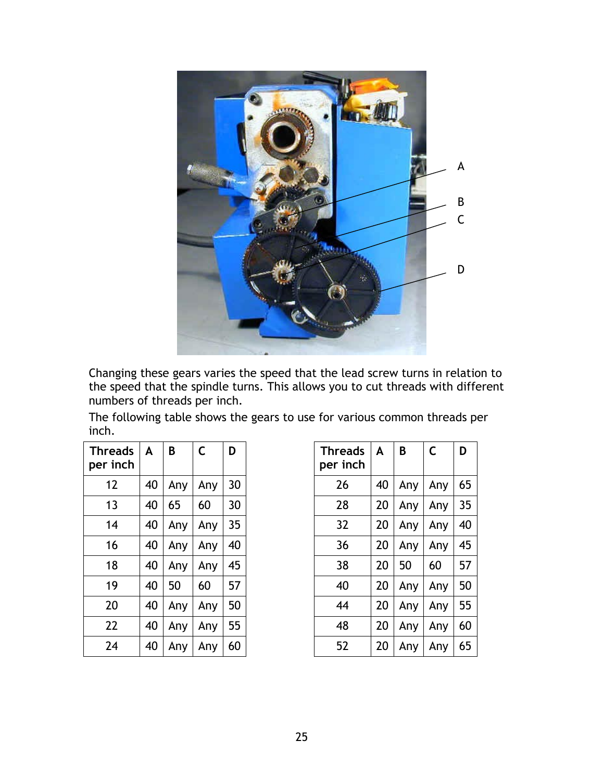

Changing these gears varies the speed that the lead screw turns in relation to the speed that the spindle turns. This allows you to cut threads with different numbers of threads per inch.

The following table shows the gears to use for various common threads per inch.

| <b>Threads</b><br>per inch | A  | B   | C   | D  |
|----------------------------|----|-----|-----|----|
| 12                         | 40 | Any | Any | 30 |
| 13                         | 40 | 65  | 60  | 30 |
| 14                         | 40 | Any | Any | 35 |
| 16                         | 40 | Any | Any | 40 |
| 18                         | 40 | Any | Any | 45 |
| 19                         | 40 | 50  | 60  | 57 |
| 20                         | 40 | Any | Any | 50 |
| 22                         | 40 | Any | Any | 55 |
| 24                         | 40 | Any | Any | 60 |

| <b>Threads</b><br>per inch | A  | B   | C   | D  |
|----------------------------|----|-----|-----|----|
| 26                         | 40 | Any | Any | 65 |
| 28                         | 20 | Any | Any | 35 |
| 32                         | 20 | Any | Any | 40 |
| 36                         | 20 | Any | Any | 45 |
| 38                         | 20 | 50  | 60  | 57 |
| 40                         | 20 | Any | Any | 50 |
| 44                         | 20 | Any | Any | 55 |
| 48                         | 20 | Any | Any | 60 |
| 52                         | 20 | Any | Any | 65 |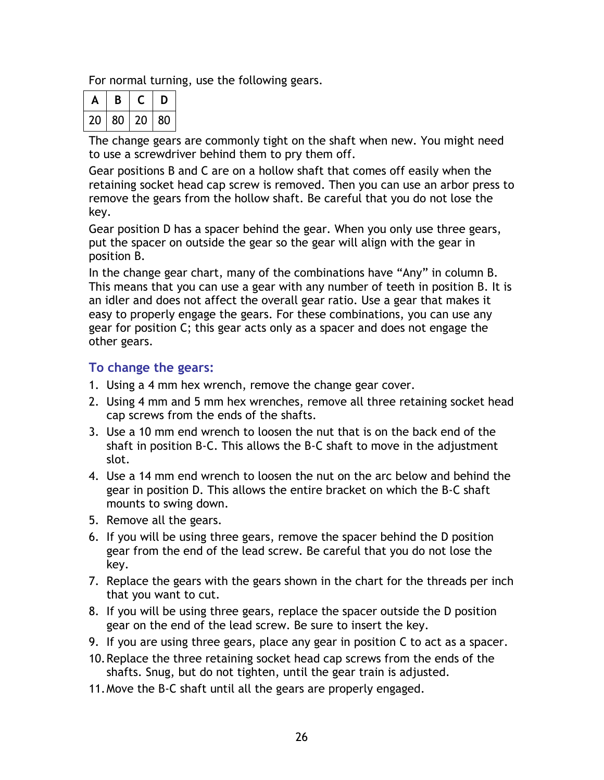For normal turning, use the following gears.

|    | В  |    | υ  |
|----|----|----|----|
| 20 | 80 | 20 | 80 |

The change gears are commonly tight on the shaft when new. You might need to use a screwdriver behind them to pry them off.

Gear positions B and C are on a hollow shaft that comes off easily when the retaining socket head cap screw is removed. Then you can use an arbor press to remove the gears from the hollow shaft. Be careful that you do not lose the key.

Gear position D has a spacer behind the gear. When you only use three gears, put the spacer on outside the gear so the gear will align with the gear in position B.

In the change gear chart, many of the combinations have "Any" in column B. This means that you can use a gear with any number of teeth in position B. It is an idler and does not affect the overall gear ratio. Use a gear that makes it easy to properly engage the gears. For these combinations, you can use any gear for position C; this gear acts only as a spacer and does not engage the other gears.

#### **To change the gears:**

- 1. Using a 4 mm hex wrench, remove the change gear cover.
- 2. Using 4 mm and 5 mm hex wrenches, remove all three retaining socket head cap screws from the ends of the shafts.
- 3. Use a 10 mm end wrench to loosen the nut that is on the back end of the shaft in position B-C. This allows the B-C shaft to move in the adjustment slot.
- 4. Use a 14 mm end wrench to loosen the nut on the arc below and behind the gear in position D. This allows the entire bracket on which the B-C shaft mounts to swing down.
- 5. Remove all the gears.
- 6. If you will be using three gears, remove the spacer behind the D position gear from the end of the lead screw. Be careful that you do not lose the key.
- 7. Replace the gears with the gears shown in the chart for the threads per inch that you want to cut.
- 8. If you will be using three gears, replace the spacer outside the D position gear on the end of the lead screw. Be sure to insert the key.
- 9. If you are using three gears, place any gear in position C to act as a spacer.
- 10. Replace the three retaining socket head cap screws from the ends of the shafts. Snug, but do not tighten, until the gear train is adjusted.
- 11. Move the B-C shaft until all the gears are properly engaged.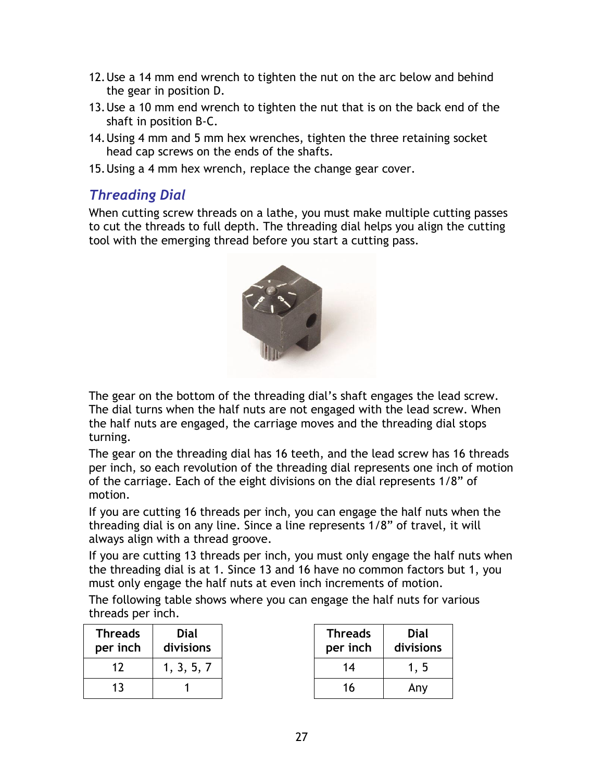- <span id="page-26-0"></span>12. Use a 14 mm end wrench to tighten the nut on the arc below and behind the gear in position D.
- 13. Use a 10 mm end wrench to tighten the nut that is on the back end of the shaft in position B-C.
- 14. Using 4 mm and 5 mm hex wrenches, tighten the three retaining socket head cap screws on the ends of the shafts.
- 15. Using a 4 mm hex wrench, replace the change gear cover.

### *Threading Dial*

When cutting screw threads on a lathe, you must make multiple cutting passes to cut the threads to full depth. The threading dial helps you align the cutting tool with the emerging thread before you start a cutting pass.



The gear on the bottom of the threading dial's shaft engages the lead screw. The dial turns when the half nuts are not engaged with the lead screw. When the half nuts are engaged, the carriage moves and the threading dial stops turning.

The gear on the threading dial has 16 teeth, and the lead screw has 16 threads per inch, so each revolution of the threading dial represents one inch of motion of the carriage. Each of the eight divisions on the dial represents 1/8" of motion.

If you are cutting 16 threads per inch, you can engage the half nuts when the threading dial is on any line. Since a line represents 1/8" of travel, it will always align with a thread groove.

If you are cutting 13 threads per inch, you must only engage the half nuts when the threading dial is at 1. Since 13 and 16 have no common factors but 1, you must only engage the half nuts at even inch increments of motion.

The following table shows where you can engage the half nuts for various threads per inch.

| <b>Threads</b><br>per inch | Dial<br>divisions |  |
|----------------------------|-------------------|--|
| 17                         | 1, 3, 5, 7        |  |
| 13                         |                   |  |

| <b>Threads</b><br>per inch | Dial<br>divisions |
|----------------------------|-------------------|
| 14                         | 1, 5              |
| 16                         | Any               |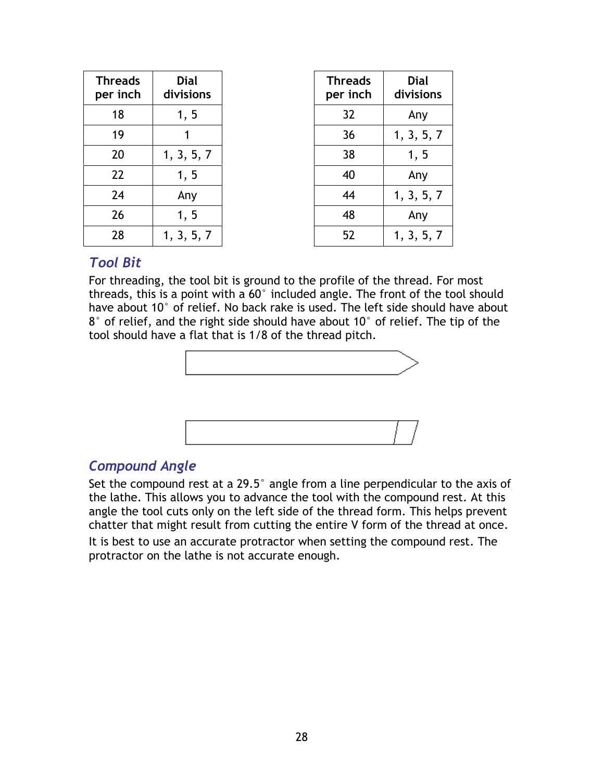<span id="page-27-0"></span>

| <b>Threads</b><br>per inch | <b>Dial</b><br>divisions | <b>Threads</b><br>per inch | <b>Dial</b><br>divisions |
|----------------------------|--------------------------|----------------------------|--------------------------|
| 18                         | 1, 5                     | 32                         | Any                      |
| 19                         |                          | 36                         | 1, 3, 5, 7               |
| 20                         | 1, 3, 5, 7               | 38                         | 1, 5                     |
| 22                         | 1, 5                     | 40                         | Any                      |
| 24                         | Any                      | 44                         | 1, 3, 5, 7               |
| 26                         | 1, 5                     | 48                         | Any                      |
| 28                         | 1, 3, 5, 7               | 52                         | 1, 3, 5, 7               |

### *Tool Bit*

For threading, the tool bit is ground to the profile of the thread. For most threads, this is a point with a 60° included angle. The front of the tool should have about 10° of relief. No back rake is used. The left side should have about 8° of relief, and the right side should have about 10° of relief. The tip of the tool should have a flat that is 1/8 of the thread pitch.





### *Compound Angle*

Set the compound rest at a 29.5° angle from a line perpendicular to the axis of the lathe. This allows you to advance the tool with the compound rest. At this angle the tool cuts only on the left side of the thread form. This helps prevent chatter that might result from cutting the entire V form of the thread at once.

It is best to use an accurate protractor when setting the compound rest. The protractor on the lathe is not accurate enough.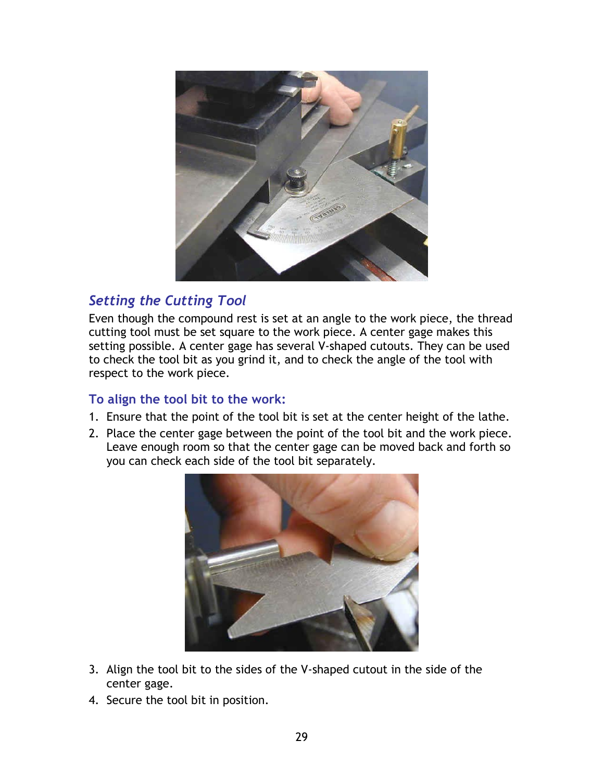<span id="page-28-0"></span>

## *Setting the Cutting Tool*

Even though the compound rest is set at an angle to the work piece, the thread cutting tool must be set square to the work piece. A center gage makes this setting possible. A center gage has several V-shaped cutouts. They can be used to check the tool bit as you grind it, and to check the angle of the tool with respect to the work piece.

#### **To align the tool bit to the work:**

- 1. Ensure that the point of the tool bit is set at the center height of the lathe.
- 2. Place the center gage between the point of the tool bit and the work piece. Leave enough room so that the center gage can be moved back and forth so you can check each side of the tool bit separately.



- 3. Align the tool bit to the sides of the V-shaped cutout in the side of the center gage.
- 4. Secure the tool bit in position.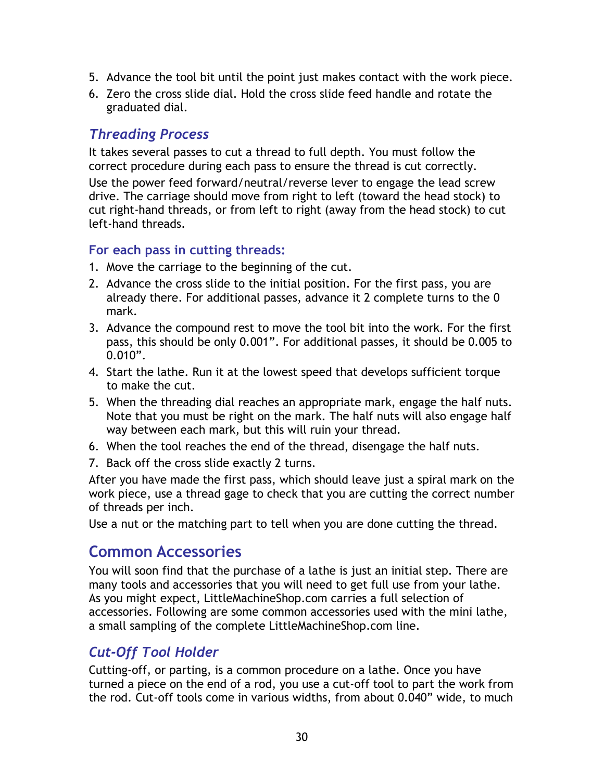- <span id="page-29-0"></span>5. Advance the tool bit until the point just makes contact with the work piece.
- 6. Zero the cross slide dial. Hold the cross slide feed handle and rotate the graduated dial.

### *Threading Process*

It takes several passes to cut a thread to full depth. You must follow the correct procedure during each pass to ensure the thread is cut correctly.

Use the power feed forward/neutral/reverse lever to engage the lead screw drive. The carriage should move from right to left (toward the head stock) to cut right-hand threads, or from left to right (away from the head stock) to cut left-hand threads.

#### **For each pass in cutting threads:**

- 1. Move the carriage to the beginning of the cut.
- 2. Advance the cross slide to the initial position. For the first pass, you are already there. For additional passes, advance it 2 complete turns to the 0 mark.
- 3. Advance the compound rest to move the tool bit into the work. For the first pass, this should be only 0.001". For additional passes, it should be 0.005 to 0.010".
- 4. Start the lathe. Run it at the lowest speed that develops sufficient torque to make the cut.
- 5. When the threading dial reaches an appropriate mark, engage the half nuts. Note that you must be right on the mark. The half nuts will also engage half way between each mark, but this will ruin your thread.
- 6. When the tool reaches the end of the thread, disengage the half nuts.
- 7. Back off the cross slide exactly 2 turns.

After you have made the first pass, which should leave just a spiral mark on the work piece, use a thread gage to check that you are cutting the correct number of threads per inch.

Use a nut or the matching part to tell when you are done cutting the thread.

# **Common Accessories**

You will soon find that the purchase of a lathe is just an initial step. There are many tools and accessories that you will need to get full use from your lathe. As you might expect, LittleMachineShop.com carries a full selection of accessories. Following are some common accessories used with the mini lathe, a small sampling of the complete LittleMachineShop.com line.

## *Cut-Off Tool Holder*

Cutting-off, or parting, is a common procedure on a lathe. Once you have turned a piece on the end of a rod, you use a cut-off tool to part the work from the rod. Cut-off tools come in various widths, from about 0.040" wide, to much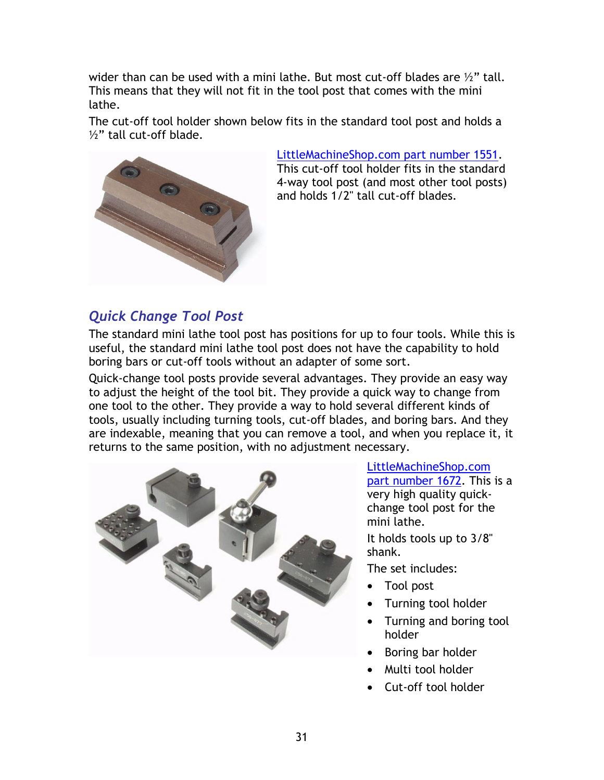<span id="page-30-0"></span>wider than can be used with a mini lathe. But most cut-off blades are  $\mathcal{V}$ " tall. This means that they will not fit in the tool post that comes with the mini lathe.

The cut-off tool holder shown below fits in the standard tool post and holds a ½" tall cut-off blade.



[LittleMachineShop.com part number 1551.](http://littlemachineshop.com/products/product_view.php?ProductID=1551)

This cut-off tool holder fits in the standard 4-way tool post (and most other tool posts) and holds 1/2" tall cut-off blades.

## *Quick Change Tool Post*

The standard mini lathe tool post has positions for up to four tools. While this is useful, the standard mini lathe tool post does not have the capability to hold boring bars or cut-off tools without an adapter of some sort.

Quick-change tool posts provide several advantages. They provide an easy way to adjust the height of the tool bit. They provide a quick way to change from one tool to the other. They provide a way to hold several different kinds of tools, usually including turning tools, cut-off blades, and boring bars. And they are indexable, meaning that you can remove a tool, and when you replace it, it returns to the same position, with no adjustment necessary.



[LittleMachineShop.com](http://littlemachineshop.com/products/product_view.php?ProductID=1672)  [part number 1672.](http://littlemachineshop.com/products/product_view.php?ProductID=1672) This is a very high quality quickchange tool post for the mini lathe.

It holds tools up to 3/8" shank.

The set includes:

- Tool post
- Turning tool holder
- Turning and boring tool holder
- Boring bar holder
- Multi tool holder
- Cut-off tool holder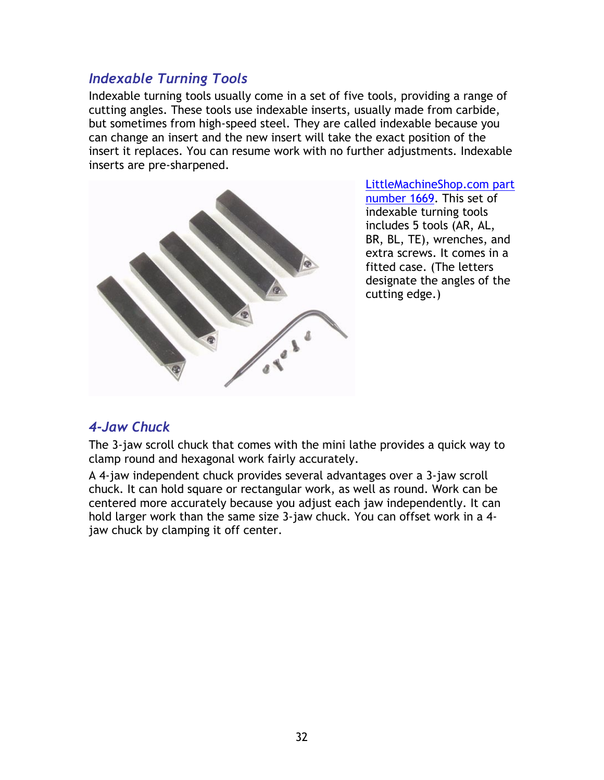### <span id="page-31-0"></span>*Indexable Turning Tools*

Indexable turning tools usually come in a set of five tools, providing a range of cutting angles. These tools use indexable inserts, usually made from carbide, but sometimes from high-speed steel. They are called indexable because you can change an insert and the new insert will take the exact position of the insert it replaces. You can resume work with no further adjustments. Indexable inserts are pre-sharpened.



[LittleMachineShop.com part](http://littlemachineshop.com/products/product_view.php?ProductID=1669)  [number 1669.](http://littlemachineshop.com/products/product_view.php?ProductID=1669) This set of indexable turning tools includes 5 tools (AR, AL, BR, BL, TE), wrenches, and extra screws. It comes in a fitted case. (The letters designate the angles of the cutting edge.)

### *4-Jaw Chuck*

The 3-jaw scroll chuck that comes with the mini lathe provides a quick way to clamp round and hexagonal work fairly accurately.

A 4-jaw independent chuck provides several advantages over a 3-jaw scroll chuck. It can hold square or rectangular work, as well as round. Work can be centered more accurately because you adjust each jaw independently. It can hold larger work than the same size 3-jaw chuck. You can offset work in a 4 jaw chuck by clamping it off center.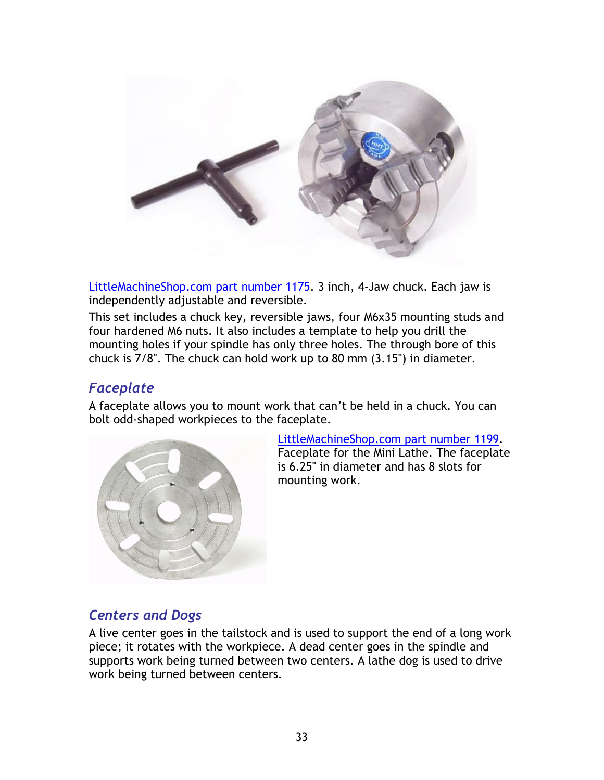<span id="page-32-0"></span>

[LittleMachineShop.com part number 1175.](http://littlemachineshop.com/products/product_view.php?ProductID=1175) 3 inch, 4-Jaw chuck. Each jaw is independently adjustable and reversible.

This set includes a chuck key, reversible jaws, four M6x35 mounting studs and four hardened M6 nuts. It also includes a template to help you drill the mounting holes if your spindle has only three holes. The through bore of this chuck is 7/8". The chuck can hold work up to 80 mm (3.15") in diameter.

### *Faceplate*

A faceplate allows you to mount work that can't be held in a chuck. You can bolt odd-shaped workpieces to the faceplate.



[LittleMachineShop.com part number 1199.](http://littlemachineshop.com/products/product_view.php?ProductID=1199) Faceplate for the Mini Lathe. The faceplate is 6.25" in diameter and has 8 slots for mounting work.

## *Centers and Dogs*

A live center goes in the tailstock and is used to support the end of a long work piece; it rotates with the workpiece. A dead center goes in the spindle and supports work being turned between two centers. A lathe dog is used to drive work being turned between centers.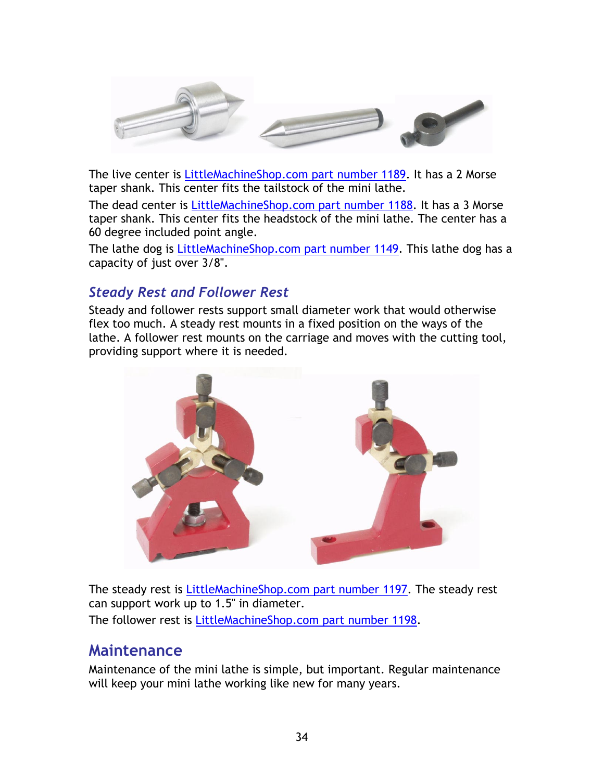<span id="page-33-0"></span>

The live center is [LittleMachineShop.com part number 1189.](http://littlemachineshop.com/products/product_view.php?ProductID=1189) It has a 2 Morse taper shank. This center fits the tailstock of the mini lathe.

The dead center is [LittleMachineShop.com part number 1188.](http://littlemachineshop.com/products/product_view.php?ProductID=1188) It has a 3 Morse taper shank. This center fits the headstock of the mini lathe. The center has a 60 degree included point angle.

The lathe dog is [LittleMachineShop.com part number 1149.](http://littlemachineshop.com/products/product_view.php?ProductID=1149) This lathe dog has a capacity of just over 3/8".

## *Steady Rest and Follower Rest*

Steady and follower rests support small diameter work that would otherwise flex too much. A steady rest mounts in a fixed position on the ways of the lathe. A follower rest mounts on the carriage and moves with the cutting tool, providing support where it is needed.



The steady rest is [LittleMachineShop.com part number 1197.](http://littlemachineshop.com/products/product_view.php?ProductID=1197) The steady rest can support work up to 1.5" in diameter. The follower rest is [LittleMachineShop.com part number 1198.](http://littlemachineshop.com/products/product_view.php?ProductID=1198)

## **Maintenance**

Maintenance of the mini lathe is simple, but important. Regular maintenance will keep your mini lathe working like new for many years.